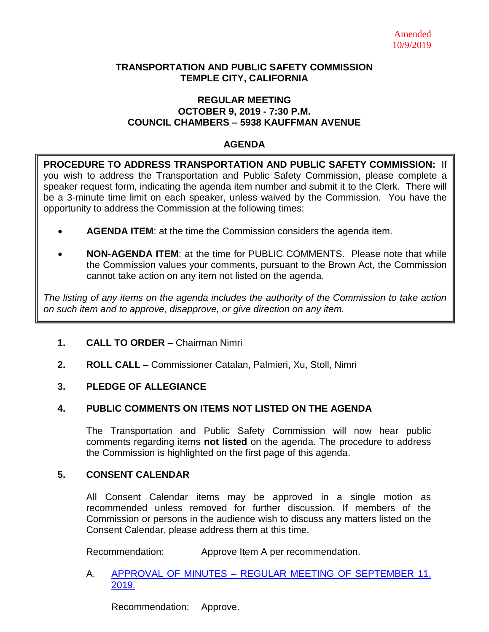#### **TRANSPORTATION AND PUBLIC SAFETY COMMISSION TEMPLE CITY, CALIFORNIA**

#### **REGULAR MEETING OCTOBER 9, 2019 - 7:30 P.M. COUNCIL CHAMBERS – 5938 KAUFFMAN AVENUE**

### **AGENDA**

**PROCEDURE TO ADDRESS TRANSPORTATION AND PUBLIC SAFETY COMMISSION:** If you wish to address the Transportation and Public Safety Commission, please complete a speaker request form, indicating the agenda item number and submit it to the Clerk. There will be a 3-minute time limit on each speaker, unless waived by the Commission. You have the opportunity to address the Commission at the following times:

- **AGENDA ITEM**: at the time the Commission considers the agenda item.
- **NON-AGENDA ITEM**: at the time for PUBLIC COMMENTS. Please note that while the Commission values your comments, pursuant to the Brown Act, the Commission cannot take action on any item not listed on the agenda.

*The listing of any items on the agenda includes the authority of the Commission to take action on such item and to approve, disapprove, or give direction on any item.*

## **1. CALL TO ORDER –** Chairman Nimri

**2. ROLL CALL –** Commissioner Catalan, Palmieri, Xu, Stoll, Nimri

## **3. PLEDGE OF ALLEGIANCE**

## **4. PUBLIC COMMENTS ON ITEMS NOT LISTED ON THE AGENDA**

The Transportation and Public Safety Commission will now hear public comments regarding items **not listed** on the agenda. The procedure to address the Commission is highlighted on the first page of this agenda.

## **5. CONSENT CALENDAR**

All Consent Calendar items may be approved in a single motion as recommended unless removed for further discussion. If members of the Commission or persons in the audience wish to discuss any matters listed on the Consent Calendar, please address them at this time.

Recommendation: Approve Item A per recommendation.

#### A. APPROVAL OF MINUTES – [REGULAR MEETING OF SEPTEMBER 11,](https://ca-templecity.civicplus.com/DocumentCenter/View/13217/TPSC-min-2019-09-11)  [2019.](https://ca-templecity.civicplus.com/DocumentCenter/View/13217/TPSC-min-2019-09-11)

Recommendation: Approve.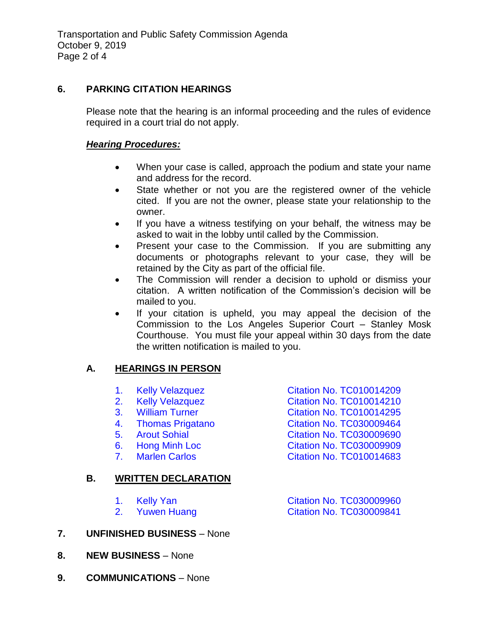## **6. PARKING CITATION HEARINGS**

Please note that the hearing is an informal proceeding and the rules of evidence required in a court trial do not apply.

### *Hearing Procedures:*

- When your case is called, approach the podium and state your name and address for the record.
- State whether or not you are the registered owner of the vehicle cited. If you are not the owner, please state your relationship to the owner.
- If you have a witness testifying on your behalf, the witness may be asked to wait in the lobby until called by the Commission.
- Present your case to the Commission. If you are submitting any documents or photographs relevant to your case, they will be retained by the City as part of the official file.
- The Commission will render a decision to uphold or dismiss your citation. A written notification of the Commission's decision will be mailed to you.
- If your citation is upheld, you may appeal the decision of the Commission to the Los Angeles Superior Court – Stanley Mosk Courthouse. You must file your appeal within 30 days from the date the written notification is mailed to you.

# **A. HEARINGS IN PERSON**

1. Kelly Velazquez **[Citation No. TC010014209](https://ca-templecity.civicplus.com/DocumentCenter/View/13218/6A1-TC010014209)** 2. [Kelly Velazquez Citation No. TC010014210](https://ca-templecity.civicplus.com/DocumentCenter/View/13219/6A2-TC010014210) 3. [William Turner Citation No. TC010014295](https://ca-templecity.civicplus.com/DocumentCenter/View/13220/6A3-TC010014295) 4. [Thomas Prigatano Citation No. TC030009464](https://ca-templecity.civicplus.com/DocumentCenter/View/13221/6A4-TC030009464) 5. [Arout Sohial Citation No. TC030009690](https://ca-templecity.civicplus.com/DocumentCenter/View/13222/6A5-TC030009690) 6. Hong Minh Loc [Citation No. TC03000990](https://ca-templecity.civicplus.com/DocumentCenter/View/13223/6A6-TC30009909)9 7. Marlen Carlos **Citation No. TC010014683 B. WRITTEN DECLARATION** 1. [Kelly Yan Citation No. TC030009960](https://ca-templecity.civicplus.com/DocumentCenter/View/13225/6B1-TC030009960)

2. Yuwen Huang [Citation No. TC030009841](https://ca-templecity.civicplus.com/DocumentCenter/View/13226/6B2-TC030009841)

- **7. UNFINISHED BUSINESS** None
- **8. NEW BUSINESS** None
- **9. COMMUNICATIONS** None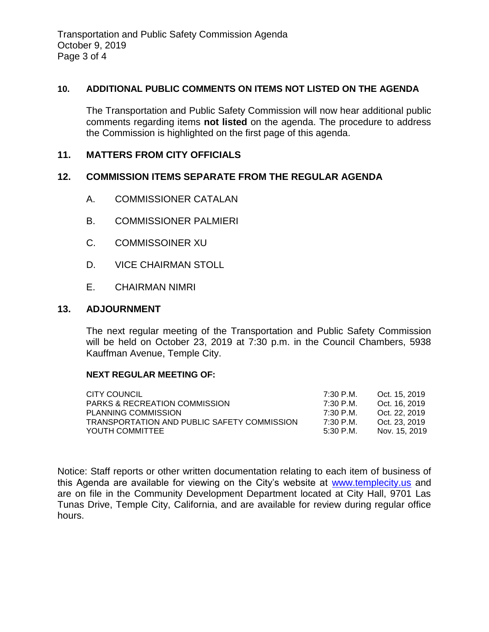## **10. ADDITIONAL PUBLIC COMMENTS ON ITEMS NOT LISTED ON THE AGENDA**

The Transportation and Public Safety Commission will now hear additional public comments regarding items **not listed** on the agenda. The procedure to address the Commission is highlighted on the first page of this agenda.

# **11. MATTERS FROM CITY OFFICIALS**

## **12. COMMISSION ITEMS SEPARATE FROM THE REGULAR AGENDA**

- A. COMMISSIONER CATALAN
- B. COMMISSIONER PALMIERI
- C. COMMISSOINER XU
- D. VICE CHAIRMAN STOLL
- E. CHAIRMAN NIMRI

## **13. ADJOURNMENT**

The next regular meeting of the Transportation and Public Safety Commission will be held on October 23, 2019 at 7:30 p.m. in the Council Chambers, 5938 Kauffman Avenue, Temple City.

#### **NEXT REGULAR MEETING OF:**

| CITY COUNCIL                                | 7:30 P.M. | Oct. 15, 2019 |
|---------------------------------------------|-----------|---------------|
| <b>PARKS &amp; RECREATION COMMISSION</b>    | 7:30 P.M. | Oct. 16, 2019 |
| PLANNING COMMISSION                         | 7:30 P.M. | Oct. 22, 2019 |
| TRANSPORTATION AND PUBLIC SAFETY COMMISSION | 7:30 P.M. | Oct. 23, 2019 |
| YOUTH COMMITTEE                             | 5:30 P.M. | Nov. 15, 2019 |

Notice: Staff reports or other written documentation relating to each item of business of this Agenda are available for viewing on the City's website at [www.templecity.us](http://www.templecity.us/) and are on file in the Community Development Department located at City Hall, 9701 Las Tunas Drive, Temple City, California, and are available for review during regular office hours.